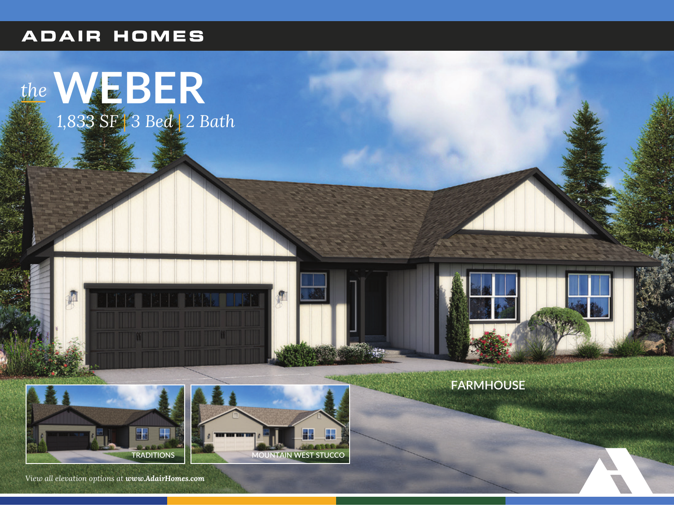## **ADAIR HOMES**



View all elevation options at www.AdairHomes.com